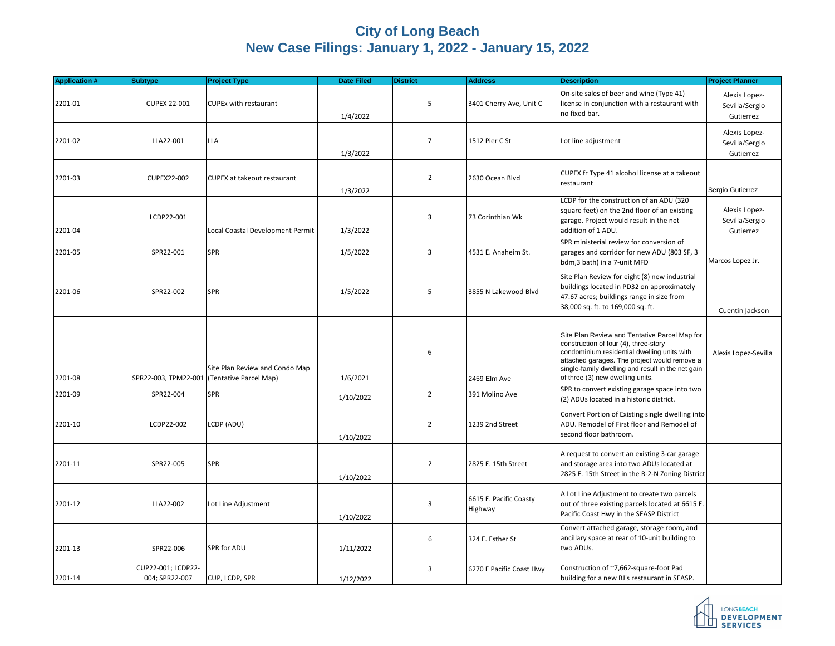## **City of Long Beach New Case Filings: January 1, 2022 - January 15, 2022**

| <b>Application #</b> | <b>Subtype</b>                              | <b>Project Type</b>                | <b>Date Filed</b> | <b>District</b> | <b>Address</b>                    | <b>Description</b>                                                                                                                                                                                                                                                             | <b>Project Planner</b>                       |
|----------------------|---------------------------------------------|------------------------------------|-------------------|-----------------|-----------------------------------|--------------------------------------------------------------------------------------------------------------------------------------------------------------------------------------------------------------------------------------------------------------------------------|----------------------------------------------|
| 2201-01              | <b>CUPEX 22-001</b>                         | <b>CUPEx with restaurant</b>       | 1/4/2022          | 5               | 3401 Cherry Ave, Unit C           | On-site sales of beer and wine (Type 41)<br>license in conjunction with a restaurant with<br>no fixed bar.                                                                                                                                                                     | Alexis Lopez-<br>Sevilla/Sergio<br>Gutierrez |
| 2201-02              | LLA22-001                                   | <b>LLA</b>                         | 1/3/2022          | $\overline{7}$  | 1512 Pier C St                    | Lot line adjustment                                                                                                                                                                                                                                                            | Alexis Lopez-<br>Sevilla/Sergio<br>Gutierrez |
| 2201-03              | CUPEX22-002                                 | <b>CUPEX at takeout restaurant</b> | 1/3/2022          | $\overline{2}$  | 2630 Ocean Blvd                   | CUPEX fr Type 41 alcohol license at a takeout<br>restaurant                                                                                                                                                                                                                    | Sergio Gutierrez                             |
| 2201-04              | LCDP22-001                                  | Local Coastal Development Permit   | 1/3/2022          | 3               | 73 Corinthian Wk                  | LCDP for the construction of an ADU (320<br>square feet) on the 2nd floor of an existing<br>garage. Project would result in the net<br>addition of 1 ADU.                                                                                                                      | Alexis Lopez-<br>Sevilla/Sergio<br>Gutierrez |
| 2201-05              | SPR22-001                                   | SPR                                | 1/5/2022          | 3               | 4531 E. Anaheim St.               | SPR ministerial review for conversion of<br>garages and corridor for new ADU (803 SF, 3<br>bdm,3 bath) in a 7-unit MFD                                                                                                                                                         | Marcos Lopez Jr.                             |
| 2201-06              | SPR22-002                                   | SPR                                | 1/5/2022          | 5               | 3855 N Lakewood Blvd              | Site Plan Review for eight (8) new industrial<br>buildings located in PD32 on approximately<br>47.67 acres; buildings range in size from<br>38,000 sq. ft. to 169,000 sq. ft.                                                                                                  | Cuentin Jackson                              |
| 2201-08              | SPR22-003, TPM22-001 (Tentative Parcel Map) | Site Plan Review and Condo Map     | 1/6/2021          | 6               | 2459 Elm Ave                      | Site Plan Review and Tentative Parcel Map for<br>construction of four (4), three-story<br>condominium residential dwelling units with<br>attached garages. The project would remove a<br>single-family dwelling and result in the net gain<br>of three (3) new dwelling units. | Alexis Lopez-Sevilla                         |
| 2201-09              | SPR22-004                                   | <b>SPR</b>                         | 1/10/2022         | $\overline{2}$  | 391 Molino Ave                    | SPR to convert existing garage space into two<br>(2) ADUs located in a historic district.                                                                                                                                                                                      |                                              |
| 2201-10              | LCDP22-002                                  | LCDP (ADU)                         | 1/10/2022         | $\overline{2}$  | 1239 2nd Street                   | Convert Portion of Existing single dwelling into<br>ADU. Remodel of First floor and Remodel of<br>second floor bathroom.                                                                                                                                                       |                                              |
| 2201-11              | SPR22-005                                   | SPR                                | 1/10/2022         | $\overline{2}$  | 2825 E. 15th Street               | A request to convert an existing 3-car garage<br>and storage area into two ADUs located at<br>2825 E. 15th Street in the R-2-N Zoning District                                                                                                                                 |                                              |
| 2201-12              | LLA22-002                                   | Lot Line Adjustment                | 1/10/2022         | 3               | 6615 E. Pacific Coasty<br>Highway | A Lot Line Adjustment to create two parcels<br>out of three existing parcels located at 6615 E.<br>Pacific Coast Hwy in the SEASP District                                                                                                                                     |                                              |
| 2201-13              | SPR22-006                                   | SPR for ADU                        | 1/11/2022         | 6               | 324 E. Esther St                  | Convert attached garage, storage room, and<br>ancillary space at rear of 10-unit building to<br>two ADUs.                                                                                                                                                                      |                                              |
| 2201-14              | CUP22-001; LCDP22-<br>004; SPR22-007        | CUP, LCDP, SPR                     | 1/12/2022         | 3               | 6270 E Pacific Coast Hwy          | Construction of ~7,662-square-foot Pad<br>building for a new BJ's restaurant in SEASP.                                                                                                                                                                                         |                                              |